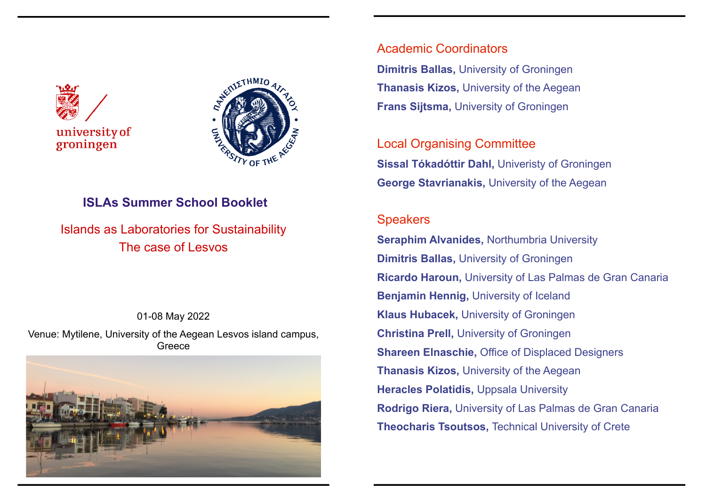



# **ISLAs Summer School Booklet**

Islands as Laboratories for Sustainability The case of Lesvos

01-08 May 2022 Venue: Mytilene, University of the Aegean Lesvos island campus, Greece



# Academic Coordinators **Dimitris Ballas,** University of Groningen **Thanasis Kizos,** University of the Aegean **Frans Sijtsma,** University of Groningen

Local Organising Committee **Sissal Tókadóttir Dahl,** Univeristy of Groningen **George Stavrianakis,** University of the Aegean

# **Speakers**

**Seraphim Alvanides,** Northumbria University **Dimitris Ballas,** University of Groningen **Ricardo Haroun,** University of Las Palmas de Gran Canaria **Benjamin Hennig,** University of Iceland **Klaus Hubacek,** University of Groningen **Christina Prell,** University of Groningen **Shareen Elnaschie, Office of Displaced Designers Thanasis Kizos,** University of the Aegean **Heracles Polatidis,** Uppsala University **Rodrigo Riera,** University of Las Palmas de Gran Canaria **Theocharis Tsoutsos,** Technical University of Crete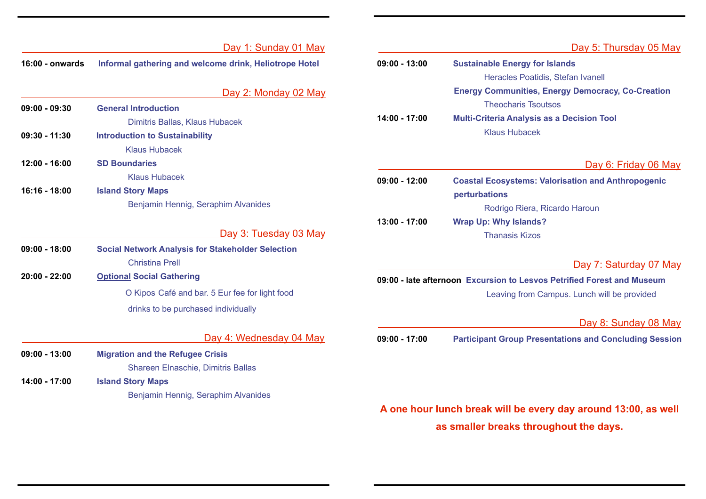|                 | Day 1: Sunday 01 May                                     |                                                                        | Day 5: Thursday 05 May                                                     |
|-----------------|----------------------------------------------------------|------------------------------------------------------------------------|----------------------------------------------------------------------------|
| 16:00 - onwards | Informal gathering and welcome drink, Heliotrope Hotel   | $09:00 - 13:00$                                                        | <b>Sustainable Energy for Islands</b><br>Heracles Poatidis, Stefan Ivanell |
|                 | Day 2: Monday 02 May                                     |                                                                        | <b>Energy Communities, Energy Democracy, Co-Creation</b>                   |
| $09:00 - 09:30$ | <b>General Introduction</b>                              |                                                                        | <b>Theocharis Tsoutsos</b>                                                 |
|                 | Dimitris Ballas, Klaus Hubacek                           | 14:00 - 17:00                                                          | <b>Multi-Criteria Analysis as a Decision Tool</b>                          |
| $09:30 - 11:30$ | <b>Introduction to Sustainability</b>                    |                                                                        | <b>Klaus Hubacek</b>                                                       |
|                 | <b>Klaus Hubacek</b>                                     |                                                                        |                                                                            |
| $12:00 - 16:00$ | <b>SD Boundaries</b>                                     |                                                                        | Day 6: Friday 06 May                                                       |
|                 | <b>Klaus Hubacek</b>                                     | $09:00 - 12:00$                                                        | <b>Coastal Ecosystems: Valorisation and Anthropogenic</b>                  |
| 16:16 - 18:00   | <b>Island Story Maps</b>                                 |                                                                        | perturbations                                                              |
|                 | Benjamin Hennig, Seraphim Alvanides                      |                                                                        | Rodrigo Riera, Ricardo Haroun                                              |
|                 |                                                          | 13:00 - 17:00                                                          | <b>Wrap Up: Why Islands?</b>                                               |
|                 | Day 3: Tuesday 03 May                                    |                                                                        | <b>Thanasis Kizos</b>                                                      |
| $09:00 - 18:00$ | <b>Social Network Analysis for Stakeholder Selection</b> |                                                                        |                                                                            |
|                 | <b>Christina Prell</b>                                   |                                                                        | Day 7: Saturday 07 May                                                     |
| $20:00 - 22:00$ | <b>Optional Social Gathering</b>                         | 09:00 - late afternoon Excursion to Lesvos Petrified Forest and Museum |                                                                            |
|                 | O Kipos Café and bar. 5 Eur fee for light food           |                                                                        | Leaving from Campus. Lunch will be provided                                |
|                 | drinks to be purchased individually                      |                                                                        |                                                                            |
|                 |                                                          |                                                                        | Day 8: Sunday 08 May                                                       |
|                 | Day 4: Wednesday 04 May                                  | $09:00 - 17:00$                                                        | <b>Participant Group Presentations and Concluding Session</b>              |
| $09:00 - 13:00$ | <b>Migration and the Refugee Crisis</b>                  |                                                                        |                                                                            |
|                 | Shareen Elnaschie, Dimitris Ballas                       |                                                                        |                                                                            |
| 14:00 - 17:00   | <b>Island Story Maps</b>                                 |                                                                        |                                                                            |
|                 | Benjamin Hennig, Seraphim Alvanides                      |                                                                        |                                                                            |
|                 |                                                          |                                                                        | $\Lambda$ and hour lunch broak will be every day around 13:00 as well      |

**A one hour lunch break will be every day around 13:00, as well as smaller breaks throughout the days.**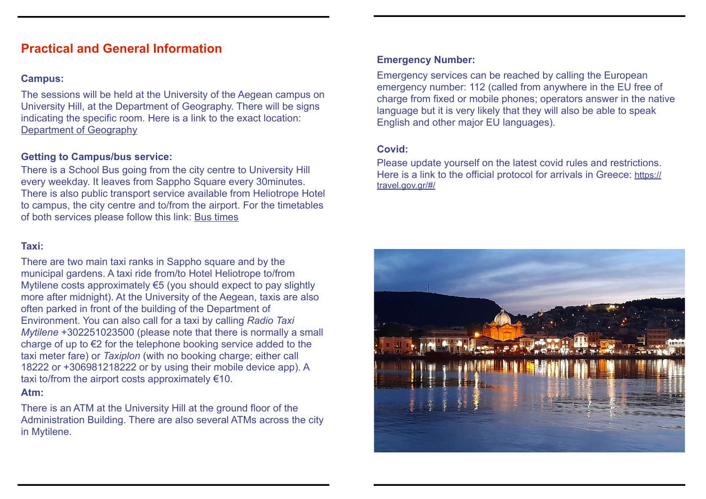# **Practical and General Information**

#### **Campus:**

The sessions will be held at the University of the Aegean campus on University Hill, at the Department of Geography. There will be signs indicating the specific room. Here is a link to the exact location: [Department of Geography](https://www.google.com/maps/place/Department+of+Geography/@39.0848599,26.569444,17.52z/data=!4m5!3m4!1s0x0:0x5facb5519b19f828!8m2!3d39.0847801!4d26.5690478)

#### **Getting to Campus/bus service:**

There is a School Bus going from the city centre to University Hill every weekday. It leaves from Sappho Square every 30minutes. There is also public transport service available from Heliotrope Hotel to campus, the city centre and to/from the airport. For the timetables of both services please follow this link: [Bus times](https://www.astika-mitilinis.gr/en/%CF%80%CE%AF%CE%BD%CE%B1%CE%BA%CE%B1%CF%82-%CE%B4%CE%BF%CE%BC%CE%BF%CE%BB%CE%BF%CE%B3%CE%AF%CF%89%CE%BD/)

#### **Taxi:**

There are two main taxi ranks in Sappho square and by the municipal gardens. A taxi ride from/to Hotel Heliotrope to/from Mytilene costs approximately €5 (you should expect to pay slightly more after midnight). At the University of the Aegean, taxis are also often parked in front of the building of the Department of Environment. You can also call for a taxi by calling *Radio Taxi Mytilene* +302251023500 (please note that there is normally a small charge of up to €2 for the telephone booking service added to the taxi meter fare) or *Taxiplon* (with no booking charge; either call 18222 or +306981218222 or by using their mobile device app). A taxi to/from the airport costs approximately  $€10$ . **Atm:**

There is an ATM at the University Hill at the ground floor of the Administration Building. There are also several ATMs across the city in Mytilene.

#### **Emergency Number:**

Emergency services can be reached by calling the European emergency number: 112 (called from anywhere in the EU free of charge from fixed or mobile phones; operators answer in the native language but it is very likely that they will also be able to speak English and other major EU languages).

#### **Covid:**

Please update yourself on the latest covid rules and restrictions. Here is a link to the official protocol for arrivals in Greece: [https://](https://travel.gov.gr/#/) [travel.gov.gr/#/](https://travel.gov.gr/#/)

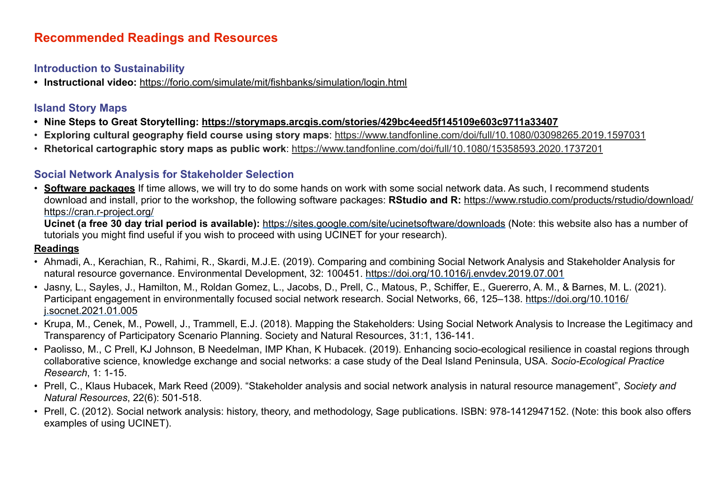#### **Introduction to Sustainability**

**• Instructional video:** <https://forio.com/simulate/mit/fishbanks/simulation/login.html>

#### **Island Story Maps**

- **• Nine Steps to Great Storytelling: <https://storymaps.arcgis.com/stories/429bc4eed5f145109e603c9711a33407>**
- **Exploring cultural geography field course using story maps**:<https://www.tandfonline.com/doi/full/10.1080/03098265.2019.1597031>
- **Rhetorical cartographic story maps as public work**: <https://www.tandfonline.com/doi/full/10.1080/15358593.2020.1737201>

## **Social Network Analysis for Stakeholder Selection**

• **Software packages** If time allows, we will try to do some hands on work with some social network data. As such, I recommend students download and install, prior to the workshop, the following software packages: **RStudio and R:** <https://www.rstudio.com/products/rstudio/download/> <https://cran.r-project.org/>

**Ucinet (a free 30 day trial period is available):** <https://sites.google.com/site/ucinetsoftware/downloads>(Note: this website also has a number of tutorials you might find useful if you wish to proceed with using UCINET for your research).

#### **Readings**

- Ahmadi, A., Kerachian, R., Rahimi, R., Skardi, M.J.E. (2019). Comparing and combining Social Network Analysis and Stakeholder Analysis for natural resource governance. Environmental Development, 32: 100451.<https://doi.org/10.1016/j.envdev.2019.07.001>
- Jasny, L., Sayles, J., Hamilton, M., Roldan Gomez, L., Jacobs, D., Prell, C., Matous, P., Schiffer, E., Guererro, A. M., & Barnes, M. L. (2021). Participant engagement in environmentally focused social network research. Social Networks, 66, 125–138. [https://doi.org/10.1016/](https://doi.org/10.1016/j.socnet.2021.01.005) [j.socnet.2021.01.005](https://doi.org/10.1016/j.socnet.2021.01.005)
- Krupa, M., Cenek, M., Powell, J., Trammell, E.J. (2018). Mapping the Stakeholders: Using Social Network Analysis to Increase the Legitimacy and Transparency of Participatory Scenario Planning. Society and Natural Resources, 31:1, 136-141.
- Paolisso, M., C Prell, KJ Johnson, B Needelman, IMP Khan, K Hubacek. (2019). Enhancing socio-ecological resilience in coastal regions through collaborative science, knowledge exchange and social networks: a case study of the Deal Island Peninsula, USA. *Socio-Ecological Practice Research*, 1: 1-15.
- Prell, C., Klaus Hubacek, Mark Reed (2009). "Stakeholder analysis and social network analysis in natural resource management", *Society and Natural Resources*, 22(6): 501-518.
- Prell, C. (2012). Social network analysis: history, theory, and methodology, Sage publications. ISBN: 978-1412947152. (Note: this book also offers examples of using UCINET).